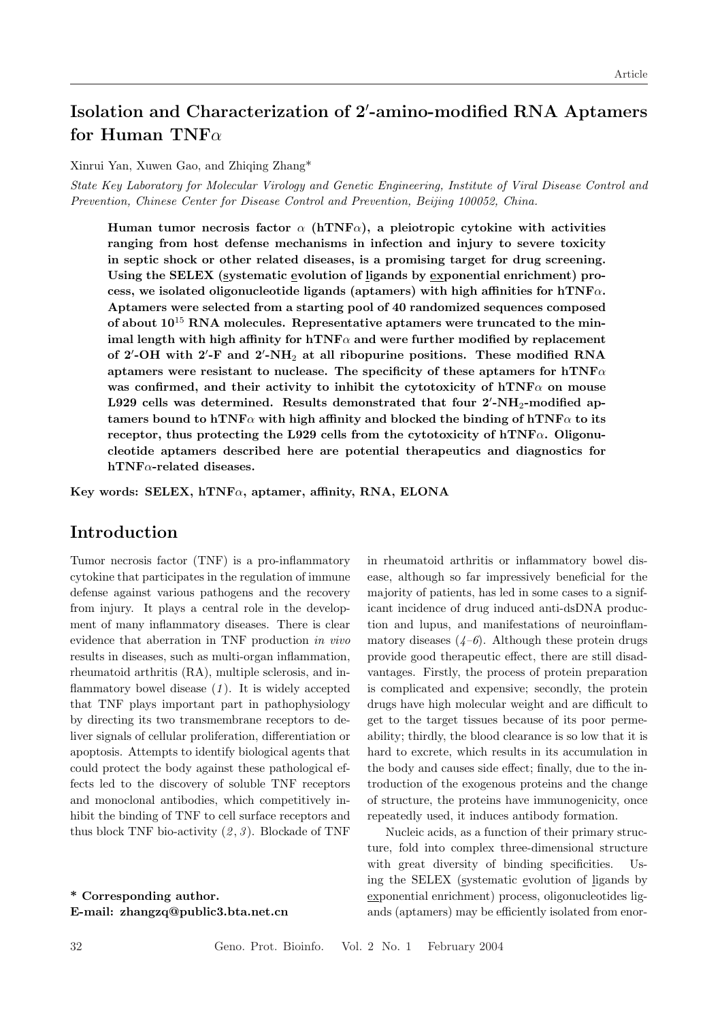# Isolation and Characterization of 2'-amino-modified RNA Aptamers for Human TNF $\alpha$

Xinrui Yan, Xuwen Gao, and Zhiqing Zhang\*

State Key Laboratory for Molecular Virology and Genetic Engineering, Institute of Viral Disease Control and Prevention, Chinese Center for Disease Control and Prevention, Beijing 100052, China.

Human tumor necrosis factor  $\alpha$  (hTNF $\alpha$ ), a pleiotropic cytokine with activities ranging from host defense mechanisms in infection and injury to severe toxicity in septic shock or other related diseases, is a promising target for drug screening. Using the SELEX (systematic evolution of ligands by exponential enrichment) process, we isolated oligonucleotide ligands (aptamers) with high affinities for  $hTNF\alpha$ . Aptamers were selected from a starting pool of 40 randomized sequences composed of about  $10^{15}$  RNA molecules. Representative aptamers were truncated to the minimal length with high affinity for  $hTNF\alpha$  and were further modified by replacement of 2'-OH with 2'-F and 2'-NH<sub>2</sub> at all ribopurine positions. These modified RNA aptamers were resistant to nuclease. The specificity of these aptamers for  $hTNF\alpha$ was confirmed, and their activity to inhibit the cytotoxicity of  $hTNF\alpha$  on mouse L929 cells was determined. Results demonstrated that four  $2'$ -NH<sub>2</sub>-modified aptamers bound to hTNF $\alpha$  with high affinity and blocked the binding of hTNF $\alpha$  to its receptor, thus protecting the L929 cells from the cytotoxicity of hTNF $\alpha$ . Oligonucleotide aptamers described here are potential therapeutics and diagnostics for hTNFα-related diseases.

Key words: SELEX, hTNF $\alpha$ , aptamer, affinity, RNA, ELONA

## Introduction

Tumor necrosis factor (TNF) is a pro-inflammatory cytokine that participates in the regulation of immune defense against various pathogens and the recovery from injury. It plays a central role in the development of many inflammatory diseases. There is clear evidence that aberration in TNF production in vivo results in diseases, such as multi-organ inflammation, rheumatoid arthritis (RA), multiple sclerosis, and inflammatory bowel disease  $(1)$ . It is widely accepted that TNF plays important part in pathophysiology by directing its two transmembrane receptors to deliver signals of cellular proliferation, differentiation or apoptosis. Attempts to identify biological agents that could protect the body against these pathological effects led to the discovery of soluble TNF receptors and monoclonal antibodies, which competitively inhibit the binding of TNF to cell surface receptors and thus block TNF bio-activity  $(2, 3)$ . Blockade of TNF

\* Corresponding author. E-mail: zhangzq@public3.bta.net.cn in rheumatoid arthritis or inflammatory bowel disease, although so far impressively beneficial for the majority of patients, has led in some cases to a significant incidence of drug induced anti-dsDNA production and lupus, and manifestations of neuroinflammatory diseases  $(4-6)$ . Although these protein drugs provide good therapeutic effect, there are still disadvantages. Firstly, the process of protein preparation is complicated and expensive; secondly, the protein drugs have high molecular weight and are difficult to get to the target tissues because of its poor permeability; thirdly, the blood clearance is so low that it is hard to excrete, which results in its accumulation in the body and causes side effect; finally, due to the introduction of the exogenous proteins and the change of structure, the proteins have immunogenicity, once repeatedly used, it induces antibody formation.

Nucleic acids, as a function of their primary structure, fold into complex three-dimensional structure with great diversity of binding specificities. Using the SELEX (systematic evolution of ligands by exponential enrichment) process, oligonucleotides ligands (aptamers) may be efficiently isolated from enor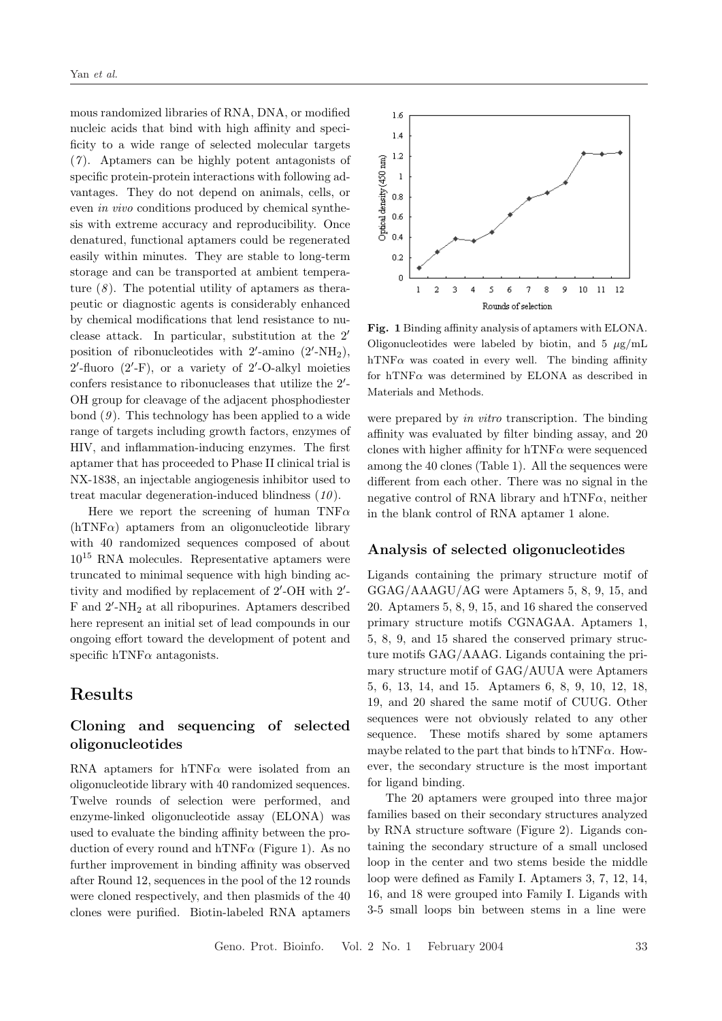mous randomized libraries of RNA, DNA, or modified nucleic acids that bind with high affinity and specificity to a wide range of selected molecular targets  $(7)$ . Aptamers can be highly potent antagonists of specific protein-protein interactions with following advantages. They do not depend on animals, cells, or even in vivo conditions produced by chemical synthesis with extreme accuracy and reproducibility. Once denatured, functional aptamers could be regenerated easily within minutes. They are stable to long-term storage and can be transported at ambient temperature  $(8)$ . The potential utility of aptamers as therapeutic or diagnostic agents is considerably enhanced by chemical modifications that lend resistance to nuclease attack. In particular, substitution at the  $2'$ position of ribonucleotides with  $2'$ -amino  $(2'$ -NH<sub>2</sub>),  $2'$ -fluoro  $(2'$ -F), or a variety of  $2'$ -O-alkyl moieties confers resistance to ribonucleases that utilize the  $2'$ -OH group for cleavage of the adjacent phosphodiester bond  $(9)$ . This technology has been applied to a wide range of targets including growth factors, enzymes of HIV, and inflammation-inducing enzymes. The first aptamer that has proceeded to Phase II clinical trial is NX-1838, an injectable angiogenesis inhibitor used to treat macular degeneration-induced blindness  $(10)$ .

Here we report the screening of human TNF $\alpha$  $(hTNF\alpha)$  aptamers from an oligonucleotide library with 40 randomized sequences composed of about 10<sup>15</sup> RNA molecules. Representative aptamers were truncated to minimal sequence with high binding activity and modified by replacement of  $2'$ -OH with  $2'$ -F and 2'-NH<sub>2</sub> at all ribopurines. Aptamers described here represent an initial set of lead compounds in our ongoing effort toward the development of potent and specific hTNF $\alpha$  antagonists.

## Results

## Cloning and sequencing of selected oligonucleotides

RNA aptamers for hTNF $\alpha$  were isolated from an oligonucleotide library with 40 randomized sequences. Twelve rounds of selection were performed, and enzyme-linked oligonucleotide assay (ELONA) was used to evaluate the binding affinity between the production of every round and hTNF $\alpha$  (Figure 1). As no further improvement in binding affinity was observed after Round 12, sequences in the pool of the 12 rounds were cloned respectively, and then plasmids of the 40 clones were purified. Biotin-labeled RNA aptamers



Fig. 1 Binding affinity analysis of aptamers with ELONA. Oligonucleotides were labeled by biotin, and  $5 \mu$ g/mL hTNF $\alpha$  was coated in every well. The binding affinity for hTNF $\alpha$  was determined by ELONA as described in Materials and Methods.

were prepared by in vitro transcription. The binding affinity was evaluated by filter binding assay, and 20 clones with higher affinity for  $hTNF\alpha$  were sequenced among the 40 clones (Table 1). All the sequences were different from each other. There was no signal in the negative control of RNA library and hTNF $\alpha$ , neither in the blank control of RNA aptamer 1 alone.

#### Analysis of selected oligonucleotides

Ligands containing the primary structure motif of GGAG/AAAGU/AG were Aptamers 5, 8, 9, 15, and 20. Aptamers 5, 8, 9, 15, and 16 shared the conserved primary structure motifs CGNAGAA. Aptamers 1, 5, 8, 9, and 15 shared the conserved primary structure motifs GAG/AAAG. Ligands containing the primary structure motif of GAG/AUUA were Aptamers 5, 6, 13, 14, and 15. Aptamers 6, 8, 9, 10, 12, 18, 19, and 20 shared the same motif of CUUG. Other sequences were not obviously related to any other sequence. These motifs shared by some aptamers maybe related to the part that binds to hTNF $\alpha$ . However, the secondary structure is the most important for ligand binding.

The 20 aptamers were grouped into three major families based on their secondary structures analyzed by RNA structure software (Figure 2). Ligands containing the secondary structure of a small unclosed loop in the center and two stems beside the middle loop were defined as Family I. Aptamers 3, 7, 12, 14, 16, and 18 were grouped into Family I. Ligands with 3-5 small loops bin between stems in a line were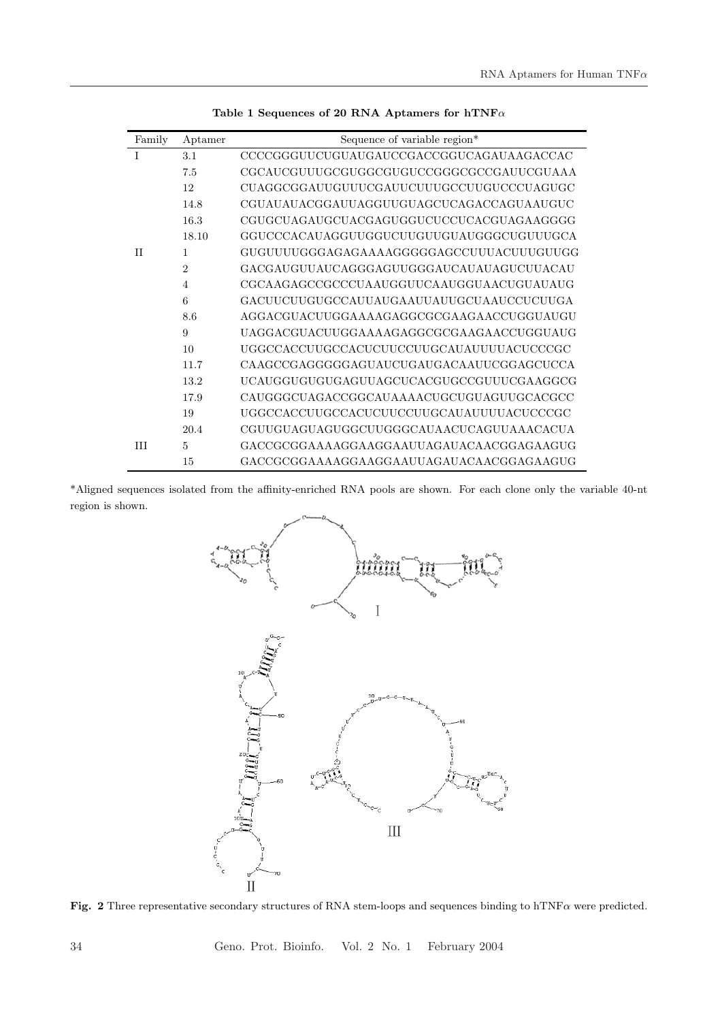| Family | Aptamer                     | Sequence of variable region*              |  |  |
|--------|-----------------------------|-------------------------------------------|--|--|
| T      | 3.1                         | CCCCGGGUUCUGUAUGAUCCGACCGGUCAGAUAAGACCAC  |  |  |
|        | 7.5                         | CGCAUCGUUUGCGUGGCGUGUCCGGGCGCCGAUUCGUAAA  |  |  |
|        | 12                          | CUAGGCGGAUUGUUUCGAUUCUUUGCCUUGUCCCUAGUGC  |  |  |
|        | 14.8                        | CGUAUAUACGGAUUAGGUUGUAGCUCAGACCAGUAAUGUC  |  |  |
|        | 16.3                        | CGUGCUAGAUGCUACGAGUGGUCUCCUCACGUAGAAGGGG  |  |  |
|        | 18.10                       | GGUCCCACAUAGGUUGGUCUUGUUGUAUGGGCUGUUUGCA  |  |  |
| H      | 1                           | GUGUUUUGGGAGAGAAAAAGGGGGAGCCUUUACUUUGUUGG |  |  |
|        | $\mathcal{D}_{\mathcal{L}}$ | GACGAUGUUAUCAGGGAGUUGGGAUCAUAUAGUCUUACAU  |  |  |
|        | $\overline{4}$              | CGCAAGAGCCGCCCUAAUGGUUCAAUGGUAACUGUAUAUG  |  |  |
|        | 6                           | GACUUCUUGUGCCAUUAUGAAUUAUUGCUAAUCCUCUUGA  |  |  |
|        | 8.6                         | AGGACGUACUUGGAAAAGAGGCGCGAAGAACCUGGUAUGU  |  |  |
|        | 9                           | UAGGACGUACUUGGAAAAGAGGCGCGAAGAACCUGGUAUG  |  |  |
|        | 10                          | UGGCCACCUUGCCACUCUUCCUUGCAUAUUUUACUCCCGC  |  |  |
|        | 11.7                        | CAAGCCGAGGGGGAGUAUCUGAUGACAAUUCGGAGCUCCA  |  |  |
|        | 13.2                        | UCAUGGUGUGUGAGUUAGCUCACGUGCCGUUUCGAAGGCG  |  |  |
|        | 17.9                        | CAUGGGCUAGACCGGCAUAAAACUGCUGUAGUUGCACGCC  |  |  |
|        | 19                          | UGGCCACCUUGCCACUCUUCCUUGCAUAUUUUACUCCCGC  |  |  |
|        | 20.4                        | CGUUGUAGUAGUGGCUUGGGCAUAACUCAGUUAAACACUA  |  |  |
| IΗ     | 5                           | GACCGCGGAAAAGGAAGGAAUUAGAUACAACGGAGAAGUG  |  |  |
|        | 15                          | GACCGCGGAAAAGGAAGGAAUUAGAUACAACGGAGAAGUG  |  |  |

Table 1 Sequences of 20 RNA Aptamers for hTNF $\alpha$ 

\*Aligned sequences isolated from the affinity-enriched RNA pools are shown. For each clone only the variable 40-nt region is shown.



Fig. 2 Three representative secondary structures of RNA stem-loops and sequences binding to hTNF $\alpha$  were predicted.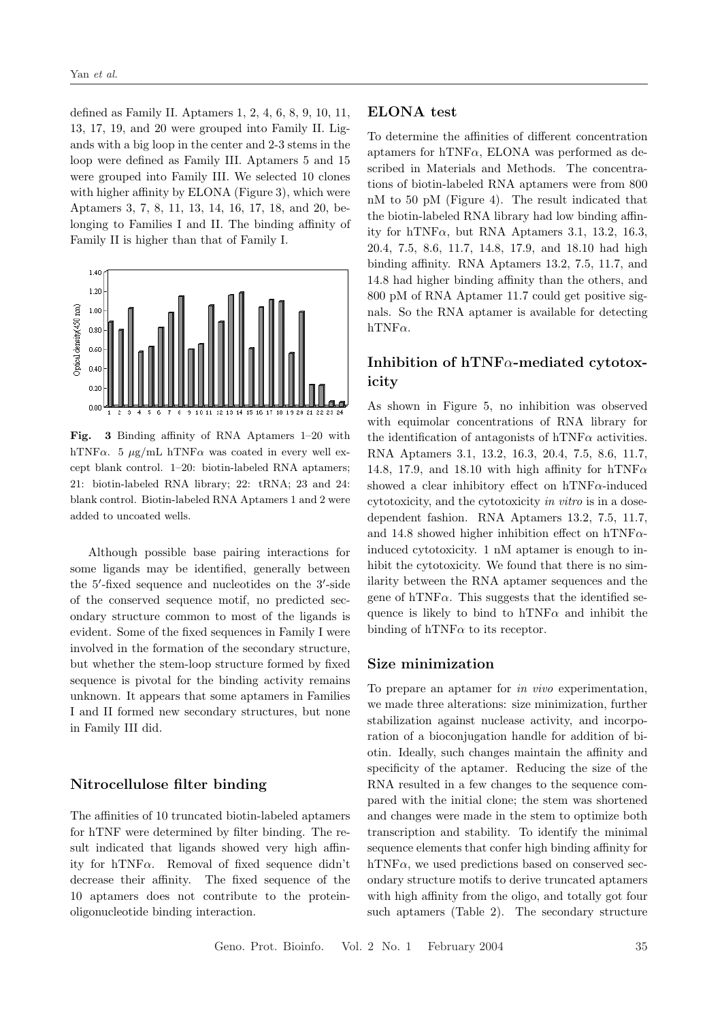defined as Family II. Aptamers 1, 2, 4, 6, 8, 9, 10, 11, 13, 17, 19, and 20 were grouped into Family II. Ligands with a big loop in the center and 2-3 stems in the loop were defined as Family III. Aptamers 5 and 15 were grouped into Family III. We selected 10 clones with higher affinity by ELONA (Figure 3), which were Aptamers 3, 7, 8, 11, 13, 14, 16, 17, 18, and 20, belonging to Families I and II. The binding affinity of Family II is higher than that of Family I.



Fig. 3 Binding affinity of RNA Aptamers 1–20 with hTNF $\alpha$ . 5  $\mu$ g/mL hTNF $\alpha$  was coated in every well except blank control. 1–20: biotin-labeled RNA aptamers; 21: biotin-labeled RNA library; 22: tRNA; 23 and 24: blank control. Biotin-labeled RNA Aptamers 1 and 2 were added to uncoated wells.

Although possible base pairing interactions for some ligands may be identified, generally between the 5'-fixed sequence and nucleotides on the 3'-side of the conserved sequence motif, no predicted secondary structure common to most of the ligands is evident. Some of the fixed sequences in Family I were involved in the formation of the secondary structure, but whether the stem-loop structure formed by fixed sequence is pivotal for the binding activity remains unknown. It appears that some aptamers in Families I and II formed new secondary structures, but none in Family III did.

### Nitrocellulose filter binding

The affinities of 10 truncated biotin-labeled aptamers for hTNF were determined by filter binding. The result indicated that ligands showed very high affinity for hTNF $\alpha$ . Removal of fixed sequence didn't decrease their affinity. The fixed sequence of the 10 aptamers does not contribute to the proteinoligonucleotide binding interaction.

### ELONA test

To determine the affinities of different concentration aptamers for hTNF $\alpha$ , ELONA was performed as described in Materials and Methods. The concentrations of biotin-labeled RNA aptamers were from 800 nM to 50 pM (Figure 4). The result indicated that the biotin-labeled RNA library had low binding affinity for hTNF $\alpha$ , but RNA Aptamers 3.1, 13.2, 16.3, 20.4, 7.5, 8.6, 11.7, 14.8, 17.9, and 18.10 had high binding affinity. RNA Aptamers 13.2, 7.5, 11.7, and 14.8 had higher binding affinity than the others, and 800 pM of RNA Aptamer 11.7 could get positive signals. So the RNA aptamer is available for detecting  $hTNF\alpha$ .

## Inhibition of hTNF $\alpha$ -mediated cytotoxicity

As shown in Figure 5, no inhibition was observed with equimolar concentrations of RNA library for the identification of antagonists of hTNF $\alpha$  activities. RNA Aptamers 3.1, 13.2, 16.3, 20.4, 7.5, 8.6, 11.7, 14.8, 17.9, and 18.10 with high affinity for hTNF $\alpha$ showed a clear inhibitory effect on hTNF $\alpha$ -induced cytotoxicity, and the cytotoxicity in vitro is in a dosedependent fashion. RNA Aptamers 13.2, 7.5, 11.7, and 14.8 showed higher inhibition effect on hTNF $\alpha$ induced cytotoxicity. 1 nM aptamer is enough to inhibit the cytotoxicity. We found that there is no similarity between the RNA aptamer sequences and the gene of hTNF $\alpha$ . This suggests that the identified sequence is likely to bind to  $hTNF\alpha$  and inhibit the binding of hTNF $\alpha$  to its receptor.

### Size minimization

To prepare an aptamer for in vivo experimentation, we made three alterations: size minimization, further stabilization against nuclease activity, and incorporation of a bioconjugation handle for addition of biotin. Ideally, such changes maintain the affinity and specificity of the aptamer. Reducing the size of the RNA resulted in a few changes to the sequence compared with the initial clone; the stem was shortened and changes were made in the stem to optimize both transcription and stability. To identify the minimal sequence elements that confer high binding affinity for hTNF $\alpha$ , we used predictions based on conserved secondary structure motifs to derive truncated aptamers with high affinity from the oligo, and totally got four such aptamers (Table 2). The secondary structure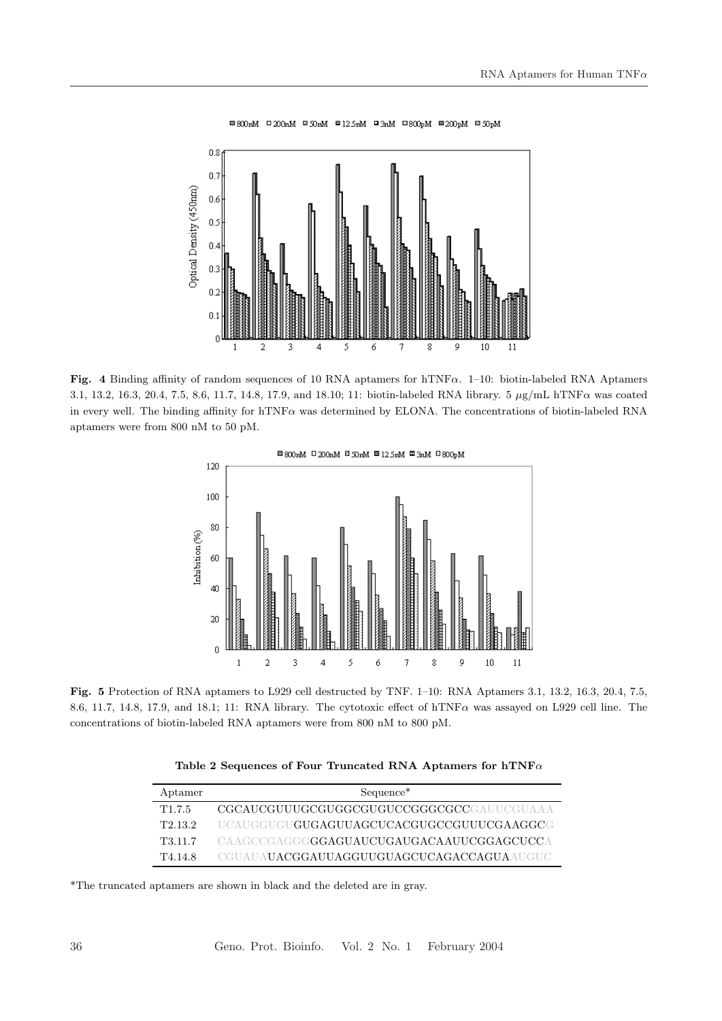

Fig. 4 Binding affinity of random sequences of 10 RNA aptamers for hTNF $\alpha$ . 1–10: biotin-labeled RNA Aptamers 3.1, 13.2, 16.3, 20.4, 7.5, 8.6, 11.7, 14.8, 17.9, and 18.10; 11: biotin-labeled RNA library. 5 µg/mL hTNFα was coated in every well. The binding affinity for hTNFα was determined by ELONA. The concentrations of biotin-labeled RNA aptamers were from 800 nM to 50 pM.



Fig. 5 Protection of RNA aptamers to L929 cell destructed by TNF. 1–10: RNA Aptamers 3.1, 13.2, 16.3, 20.4, 7.5, 8.6, 11.7, 14.8, 17.9, and 18.1; 11: RNA library. The cytotoxic effect of hTNFα was assayed on L929 cell line. The concentrations of biotin-labeled RNA aptamers were from 800 nM to 800 pM.

| Table 2 Sequences of Four Truncated RNA Aptamers for $hTNF\alpha$ |  |  |  |
|-------------------------------------------------------------------|--|--|--|
|-------------------------------------------------------------------|--|--|--|

| Aptamer             | Sequence <sup>*</sup>                             |
|---------------------|---------------------------------------------------|
| T <sub>1.7.5</sub>  | CGCAUCGUUUGCGUGGCGUGUCCGGGCGCCGAUUCGUAAA          |
| T <sub>2.13.2</sub> | UCAUGGUGU <b>GUGAGUUAGCUCACGUGCCGUUUCGAAGGC</b> G |
| T3.11.7             | CAAGCCGAGGG <b>GGAGUAUCUGAUGACAAUUCGGAGCUCC</b> A |
| T4.14.8             | CGUAUAUACGGAUUAGGUUGUAGCUCAGACCAGUAAUGUC          |

\*The truncated aptamers are shown in black and the deleted are in gray.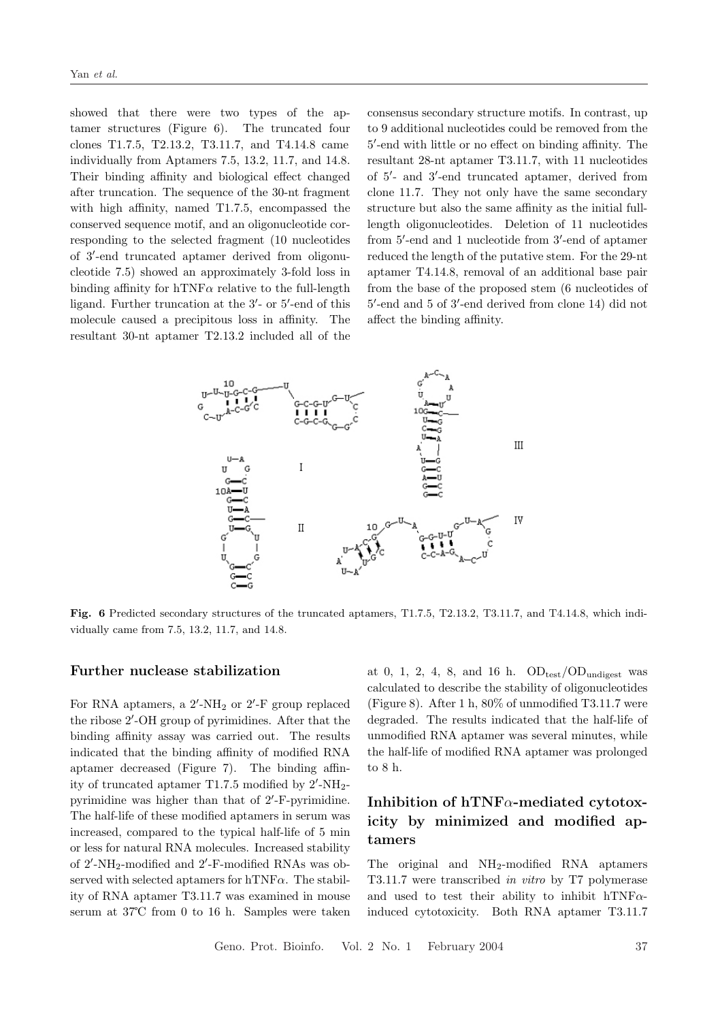showed that there were two types of the aptamer structures (Figure 6). The truncated four clones T1.7.5, T2.13.2, T3.11.7, and T4.14.8 came individually from Aptamers 7.5, 13.2, 11.7, and 14.8. Their binding affinity and biological effect changed after truncation. The sequence of the 30-nt fragment with high affinity, named T1.7.5, encompassed the conserved sequence motif, and an oligonucleotide corresponding to the selected fragment (10 nucleotides of 3'-end truncated aptamer derived from oligonucleotide 7.5) showed an approximately 3-fold loss in binding affinity for  $hTNF\alpha$  relative to the full-length ligand. Further truncation at the 3'- or 5'-end of this molecule caused a precipitous loss in affinity. The resultant 30-nt aptamer T2.13.2 included all of the

consensus secondary structure motifs. In contrast, up to 9 additional nucleotides could be removed from the 5 0 -end with little or no effect on binding affinity. The resultant 28-nt aptamer T3.11.7, with 11 nucleotides of 5'- and 3'-end truncated aptamer, derived from clone 11.7. They not only have the same secondary structure but also the same affinity as the initial fulllength oligonucleotides. Deletion of 11 nucleotides from 5'-end and 1 nucleotide from 3'-end of aptamer reduced the length of the putative stem. For the 29-nt aptamer T4.14.8, removal of an additional base pair from the base of the proposed stem (6 nucleotides of 5'-end and 5 of 3'-end derived from clone 14) did not affect the binding affinity.



Fig. 6 Predicted secondary structures of the truncated aptamers, T1.7.5, T2.13.2, T3.11.7, and T4.14.8, which individually came from 7.5, 13.2, 11.7, and 14.8.

#### Further nuclease stabilization

For RNA aptamers, a  $2'$ -NH<sub>2</sub> or  $2'$ -F group replaced the ribose 2'-OH group of pyrimidines. After that the binding affinity assay was carried out. The results indicated that the binding affinity of modified RNA aptamer decreased (Figure 7). The binding affinity of truncated aptamer T1.7.5 modified by  $2'$ -NH<sub>2</sub>pyrimidine was higher than that of 2'-F-pyrimidine. The half-life of these modified aptamers in serum was increased, compared to the typical half-life of 5 min or less for natural RNA molecules. Increased stability of  $2'$ -NH<sub>2</sub>-modified and  $2'$ -F-modified RNAs was observed with selected aptamers for hTNF $\alpha$ . The stability of RNA aptamer T3.11.7 was examined in mouse serum at 37℃ from 0 to 16 h. Samples were taken

at 0, 1, 2, 4, 8, and 16 h.  $OD_{test}/OD_{undigest}$  was calculated to describe the stability of oligonucleotides (Figure 8). After 1 h, 80% of unmodified T3.11.7 were degraded. The results indicated that the half-life of unmodified RNA aptamer was several minutes, while the half-life of modified RNA aptamer was prolonged to 8 h.

## Inhibition of hTNF $\alpha$ -mediated cytotoxicity by minimized and modified aptamers

The original and NH<sub>2</sub>-modified RNA aptamers T3.11.7 were transcribed in vitro by T7 polymerase and used to test their ability to inhibit hTNF $\alpha$ induced cytotoxicity. Both RNA aptamer T3.11.7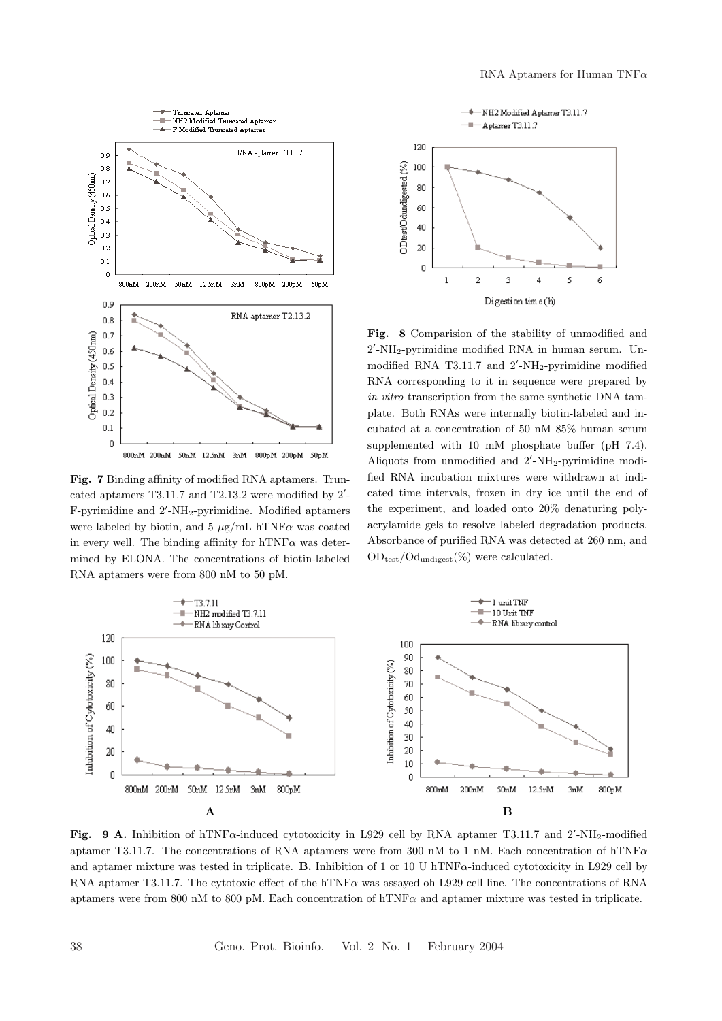

Fig. 7 Binding affinity of modified RNA aptamers. Truncated aptamers  $T3.11.7$  and  $T2.13.2$  were modified by  $2'$ -F-pyrimidine and 2'-NH<sub>2</sub>-pyrimidine. Modified aptamers were labeled by biotin, and 5  $\mu$ g/mL hTNF $\alpha$  was coated in every well. The binding affinity for  $hTNF\alpha$  was determined by ELONA. The concentrations of biotin-labeled RNA aptamers were from 800 nM to 50 pM.



Fig. 8 Comparision of the stability of unmodified and 2 0 -NH2-pyrimidine modified RNA in human serum. Unmodified RNA T3.11.7 and  $2'$ -NH<sub>2</sub>-pyrimidine modified RNA corresponding to it in sequence were prepared by in vitro transcription from the same synthetic DNA tamplate. Both RNAs were internally biotin-labeled and incubated at a concentration of 50 nM 85% human serum supplemented with 10 mM phosphate buffer (pH 7.4). Aliquots from unmodified and  $2'$ -NH<sub>2</sub>-pyrimidine modified RNA incubation mixtures were withdrawn at indicated time intervals, frozen in dry ice until the end of the experiment, and loaded onto 20% denaturing polyacrylamide gels to resolve labeled degradation products. Absorbance of purified RNA was detected at 260 nm, and  $OD_{test}/Od_{undigest}(\%)$  were calculated.



Fig. 9 A. Inhibition of hTNF $\alpha$ -induced cytotoxicity in L929 cell by RNA aptamer T3.11.7 and 2'-NH<sub>2</sub>-modified aptamer T3.11.7. The concentrations of RNA aptamers were from 300 nM to 1 nM. Each concentration of hTNF $\alpha$ and aptamer mixture was tested in triplicate. **B.** Inhibition of 1 or 10 U hTNF $\alpha$ -induced cytotoxicity in L929 cell by RNA aptamer T3.11.7. The cytotoxic effect of the hTNFα was assayed oh L929 cell line. The concentrations of RNA aptamers were from 800 nM to 800 pM. Each concentration of hTNF $\alpha$  and aptamer mixture was tested in triplicate.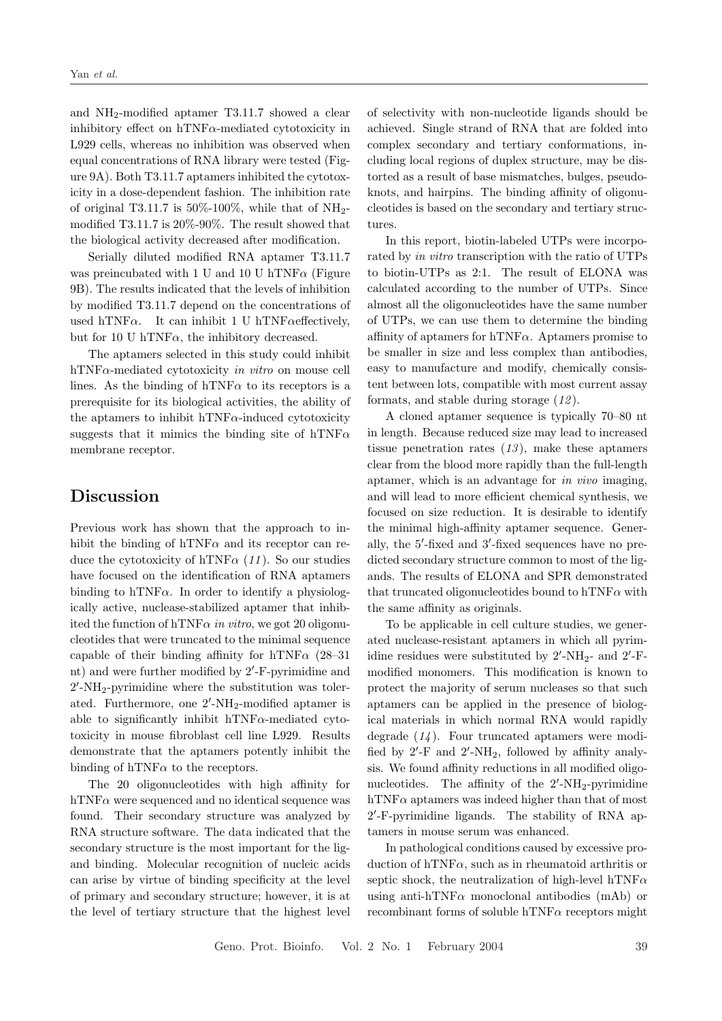and NH2-modified aptamer T3.11.7 showed a clear inhibitory effect on  $hTNF\alpha$ -mediated cytotoxicity in L929 cells, whereas no inhibition was observed when equal concentrations of RNA library were tested (Figure 9A). Both T3.11.7 aptamers inhibited the cytotoxicity in a dose-dependent fashion. The inhibition rate of original T3.11.7 is  $50\%$ -100%, while that of NH<sub>2</sub>modified T3.11.7 is 20%-90%. The result showed that the biological activity decreased after modification.

Serially diluted modified RNA aptamer T3.11.7 was preincubated with 1 U and 10 U hTNF $\alpha$  (Figure 9B). The results indicated that the levels of inhibition by modified T3.11.7 depend on the concentrations of used hTNF $\alpha$ . It can inhibit 1 U hTNF $\alpha$ effectively, but for 10 U hTNF $\alpha$ , the inhibitory decreased.

The aptamers selected in this study could inhibit hTNF $\alpha$ -mediated cytotoxicity in vitro on mouse cell lines. As the binding of hTNF $\alpha$  to its receptors is a prerequisite for its biological activities, the ability of the aptamers to inhibit hTNF $\alpha$ -induced cytotoxicity suggests that it mimics the binding site of hTNF $\alpha$ membrane receptor.

## Discussion

Previous work has shown that the approach to inhibit the binding of hTNF $\alpha$  and its receptor can reduce the cytotoxicity of hTNF $\alpha$  (11). So our studies have focused on the identification of RNA aptamers binding to hTNF $\alpha$ . In order to identify a physiologically active, nuclease-stabilized aptamer that inhibited the function of hTNF $\alpha$  in vitro, we got 20 oligonucleotides that were truncated to the minimal sequence capable of their binding affinity for hTNF $\alpha$  (28–31) nt) and were further modified by 2'-F-pyrimidine and 2 0 -NH2-pyrimidine where the substitution was tolerated. Furthermore, one 2'-NH<sub>2</sub>-modified aptamer is able to significantly inhibit  $hTNF\alpha$ -mediated cytotoxicity in mouse fibroblast cell line L929. Results demonstrate that the aptamers potently inhibit the binding of hTNF $\alpha$  to the receptors.

The 20 oligonucleotides with high affinity for hTNF $\alpha$  were sequenced and no identical sequence was found. Their secondary structure was analyzed by RNA structure software. The data indicated that the secondary structure is the most important for the ligand binding. Molecular recognition of nucleic acids can arise by virtue of binding specificity at the level of primary and secondary structure; however, it is at the level of tertiary structure that the highest level

of selectivity with non-nucleotide ligands should be achieved. Single strand of RNA that are folded into complex secondary and tertiary conformations, including local regions of duplex structure, may be distorted as a result of base mismatches, bulges, pseudoknots, and hairpins. The binding affinity of oligonucleotides is based on the secondary and tertiary structures.

In this report, biotin-labeled UTPs were incorporated by in vitro transcription with the ratio of UTPs to biotin-UTPs as 2:1. The result of ELONA was calculated according to the number of UTPs. Since almost all the oligonucleotides have the same number of UTPs, we can use them to determine the binding affinity of aptamers for hTNF $\alpha$ . Aptamers promise to be smaller in size and less complex than antibodies, easy to manufacture and modify, chemically consistent between lots, compatible with most current assay formats, and stable during storage  $(12)$ .

A cloned aptamer sequence is typically 70–80 nt in length. Because reduced size may lead to increased tissue penetration rates  $(13)$ , make these aptamers clear from the blood more rapidly than the full-length aptamer, which is an advantage for in vivo imaging, and will lead to more efficient chemical synthesis, we focused on size reduction. It is desirable to identify the minimal high-affinity aptamer sequence. Generally, the 5'-fixed and 3'-fixed sequences have no predicted secondary structure common to most of the ligands. The results of ELONA and SPR demonstrated that truncated oligonucleotides bound to hTNF $\alpha$  with the same affinity as originals.

To be applicable in cell culture studies, we generated nuclease-resistant aptamers in which all pyrimidine residues were substituted by  $2'$ -NH<sub>2</sub>- and  $2'$ -Fmodified monomers. This modification is known to protect the majority of serum nucleases so that such aptamers can be applied in the presence of biological materials in which normal RNA would rapidly degrade  $(14)$ . Four truncated aptamers were modified by  $2'$ -F and  $2'$ -NH<sub>2</sub>, followed by affinity analysis. We found affinity reductions in all modified oligonucleotides. The affinity of the  $2'$ -NH<sub>2</sub>-pyrimidine hTNF $\alpha$  aptamers was indeed higher than that of most 2 0 -F-pyrimidine ligands. The stability of RNA aptamers in mouse serum was enhanced.

In pathological conditions caused by excessive production of hTNF $\alpha$ , such as in rheumatoid arthritis or septic shock, the neutralization of high-level hTNF $\alpha$ using anti-hTNF $\alpha$  monoclonal antibodies (mAb) or recombinant forms of soluble hTNF $\alpha$  receptors might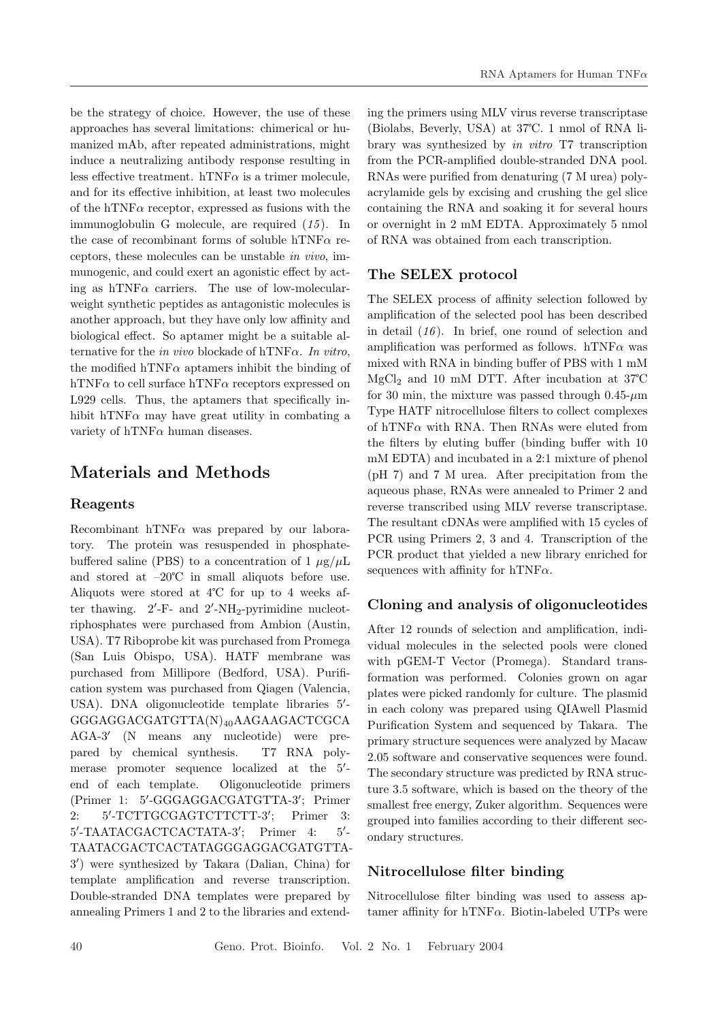be the strategy of choice. However, the use of these approaches has several limitations: chimerical or humanized mAb, after repeated administrations, might induce a neutralizing antibody response resulting in less effective treatment. hTNF $\alpha$  is a trimer molecule, and for its effective inhibition, at least two molecules of the hTNF $\alpha$  receptor, expressed as fusions with the immunoglobulin G molecule, are required  $(15)$ . In the case of recombinant forms of soluble hTNF $\alpha$  receptors, these molecules can be unstable in vivo, immunogenic, and could exert an agonistic effect by acting as hTNF $\alpha$  carriers. The use of low-molecularweight synthetic peptides as antagonistic molecules is another approach, but they have only low affinity and biological effect. So aptamer might be a suitable alternative for the in vivo blockade of hTNF $\alpha$ . In vitro, the modified hTNF $\alpha$  aptamers inhibit the binding of hTNF $\alpha$  to cell surface hTNF $\alpha$  receptors expressed on L929 cells. Thus, the aptamers that specifically inhibit hTNF $\alpha$  may have great utility in combating a variety of  $hTNF\alpha$  human diseases.

## Materials and Methods

### Reagents

Recombinant hTNF $\alpha$  was prepared by our laboratory. The protein was resuspended in phosphatebuffered saline (PBS) to a concentration of 1  $\mu$ g/ $\mu$ L and stored at –20℃ in small aliquots before use. Aliquots were stored at 4℃ for up to 4 weeks after thawing.  $2'$ -F- and  $2'$ -NH<sub>2</sub>-pyrimidine nucleotriphosphates were purchased from Ambion (Austin, USA). T7 Riboprobe kit was purchased from Promega (San Luis Obispo, USA). HATF membrane was purchased from Millipore (Bedford, USA). Purification system was purchased from Qiagen (Valencia, USA). DNA oligonucleotide template libraries 5'-GGGAGGACGATGTTA(N)40AAGAAGACTCGCA AGA-3' (N means any nucleotide) were prepared by chemical synthesis. T7 RNA polymerase promoter sequence localized at the 5'end of each template. Oligonucleotide primers (Primer 1: 5'-GGGAGGACGATGTTA-3'; Primer 2: 5'-TCTTGCGAGTCTTCTT-3' ; Primer 3: 5'-TAATACGACTCACTATA-3'; Primer 4: 5'  $5^{\prime}$ TAATACGACTCACTATAGGGAGGACGATGTTA-3 0 ) were synthesized by Takara (Dalian, China) for template amplification and reverse transcription. Double-stranded DNA templates were prepared by annealing Primers 1 and 2 to the libraries and extending the primers using MLV virus reverse transcriptase (Biolabs, Beverly, USA) at 37℃. 1 nmol of RNA library was synthesized by in vitro T7 transcription from the PCR-amplified double-stranded DNA pool. RNAs were purified from denaturing (7 M urea) polyacrylamide gels by excising and crushing the gel slice containing the RNA and soaking it for several hours or overnight in 2 mM EDTA. Approximately 5 nmol of RNA was obtained from each transcription.

### The SELEX protocol

The SELEX process of affinity selection followed by amplification of the selected pool has been described in detail  $(16)$ . In brief, one round of selection and amplification was performed as follows. hTNF $\alpha$  was mixed with RNA in binding buffer of PBS with 1 mM MgCl<sup>2</sup> and 10 mM DTT. After incubation at 37℃ for 30 min, the mixture was passed through  $0.45~\mu m$ Type HATF nitrocellulose filters to collect complexes of hTNF $\alpha$  with RNA. Then RNAs were eluted from the filters by eluting buffer (binding buffer with 10 mM EDTA) and incubated in a 2:1 mixture of phenol (pH 7) and 7 M urea. After precipitation from the aqueous phase, RNAs were annealed to Primer 2 and reverse transcribed using MLV reverse transcriptase. The resultant cDNAs were amplified with 15 cycles of PCR using Primers 2, 3 and 4. Transcription of the PCR product that yielded a new library enriched for sequences with affinity for hTNF $\alpha$ .

### Cloning and analysis of oligonucleotides

After 12 rounds of selection and amplification, individual molecules in the selected pools were cloned with pGEM-T Vector (Promega). Standard transformation was performed. Colonies grown on agar plates were picked randomly for culture. The plasmid in each colony was prepared using QIAwell Plasmid Purification System and sequenced by Takara. The primary structure sequences were analyzed by Macaw 2.05 software and conservative sequences were found. The secondary structure was predicted by RNA structure 3.5 software, which is based on the theory of the smallest free energy, Zuker algorithm. Sequences were grouped into families according to their different secondary structures.

### Nitrocellulose filter binding

Nitrocellulose filter binding was used to assess aptamer affinity for hTNF $\alpha$ . Biotin-labeled UTPs were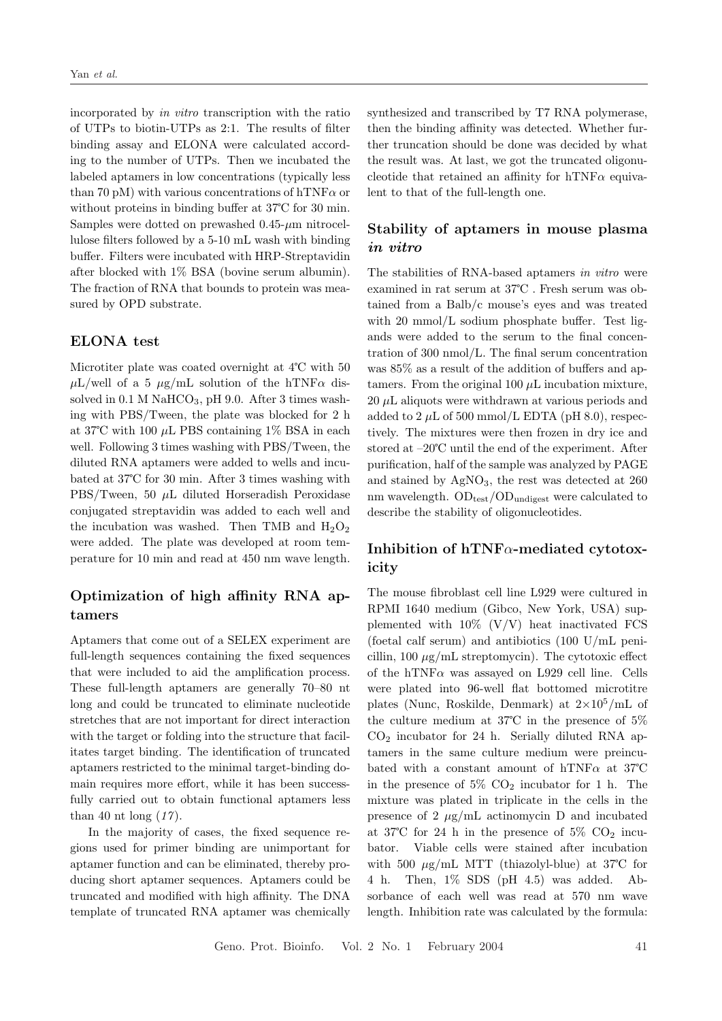incorporated by in vitro transcription with the ratio of UTPs to biotin-UTPs as 2:1. The results of filter binding assay and ELONA were calculated according to the number of UTPs. Then we incubated the labeled aptamers in low concentrations (typically less than 70 pM) with various concentrations of hTNF $\alpha$  or without proteins in binding buffer at 37℃ for 30 min. Samples were dotted on prewashed  $0.45$ - $\mu$ m nitrocellulose filters followed by a 5-10 mL wash with binding buffer. Filters were incubated with HRP-Streptavidin after blocked with 1% BSA (bovine serum albumin). The fraction of RNA that bounds to protein was measured by OPD substrate.

### ELONA test

Microtiter plate was coated overnight at  $4^{\circ}$ C with 50  $\mu$ L/well of a 5  $\mu$ g/mL solution of the hTNF $\alpha$  dissolved in  $0.1$  M NaHCO<sub>3</sub>, pH 9.0. After 3 times washing with PBS/Tween, the plate was blocked for 2 h at 37°C with 100  $\mu$ L PBS containing 1% BSA in each well. Following 3 times washing with PBS/Tween, the diluted RNA aptamers were added to wells and incubated at 37℃ for 30 min. After 3 times washing with PBS/Tween, 50  $\mu$ L diluted Horseradish Peroxidase conjugated streptavidin was added to each well and the incubation was washed. Then TMB and  $H_2O_2$ were added. The plate was developed at room temperature for 10 min and read at 450 nm wave length.

## Optimization of high affinity RNA aptamers

Aptamers that come out of a SELEX experiment are full-length sequences containing the fixed sequences that were included to aid the amplification process. These full-length aptamers are generally 70–80 nt long and could be truncated to eliminate nucleotide stretches that are not important for direct interaction with the target or folding into the structure that facilitates target binding. The identification of truncated aptamers restricted to the minimal target-binding domain requires more effort, while it has been successfully carried out to obtain functional aptamers less than 40 nt long  $(17)$ .

In the majority of cases, the fixed sequence regions used for primer binding are unimportant for aptamer function and can be eliminated, thereby producing short aptamer sequences. Aptamers could be truncated and modified with high affinity. The DNA template of truncated RNA aptamer was chemically

synthesized and transcribed by T7 RNA polymerase, then the binding affinity was detected. Whether further truncation should be done was decided by what the result was. At last, we got the truncated oligonucleotide that retained an affinity for hTNF $\alpha$  equivalent to that of the full-length one.

### Stability of aptamers in mouse plasma in vitro

The stabilities of RNA-based aptamers in vitro were examined in rat serum at 37℃ . Fresh serum was obtained from a Balb/c mouse's eyes and was treated with 20 mmol/L sodium phosphate buffer. Test ligands were added to the serum to the final concentration of 300 nmol/L. The final serum concentration was 85% as a result of the addition of buffers and aptamers. From the original 100  $\mu$ L incubation mixture,  $20 \mu L$  aliquots were withdrawn at various periods and added to  $2 \mu L$  of 500 mmol/L EDTA (pH 8.0), respectively. The mixtures were then frozen in dry ice and stored at –20℃ until the end of the experiment. After purification, half of the sample was analyzed by PAGE and stained by  $AgNO<sub>3</sub>$ , the rest was detected at 260 nm wavelength.  $OD_{test}/OD_{undigest}$  were calculated to describe the stability of oligonucleotides.

## Inhibition of hTNFα-mediated cytotoxicity

The mouse fibroblast cell line L929 were cultured in RPMI 1640 medium (Gibco, New York, USA) supplemented with  $10\%$  (V/V) heat inactivated FCS (foetal calf serum) and antibiotics (100 U/mL penicillin, 100  $\mu$ g/mL streptomycin). The cytotoxic effect of the hTNF $\alpha$  was assayed on L929 cell line. Cells were plated into 96-well flat bottomed microtitre plates (Nunc, Roskilde, Denmark) at  $2\times10^5/\text{mL}$  of the culture medium at 37℃ in the presence of 5%  $CO<sub>2</sub>$  incubator for 24 h. Serially diluted RNA aptamers in the same culture medium were preincubated with a constant amount of hTNF $\alpha$  at 37°C in the presence of  $5\%$  CO<sub>2</sub> incubator for 1 h. The mixture was plated in triplicate in the cells in the presence of 2  $\mu$ g/mL actinomycin D and incubated at 37°C for 24 h in the presence of 5%  $CO<sub>2</sub>$  incubator. Viable cells were stained after incubation with 500  $\mu$ g/mL MTT (thiazolyl-blue) at 37°C for 4 h. Then, 1% SDS (pH 4.5) was added. Absorbance of each well was read at 570 nm wave length. Inhibition rate was calculated by the formula: